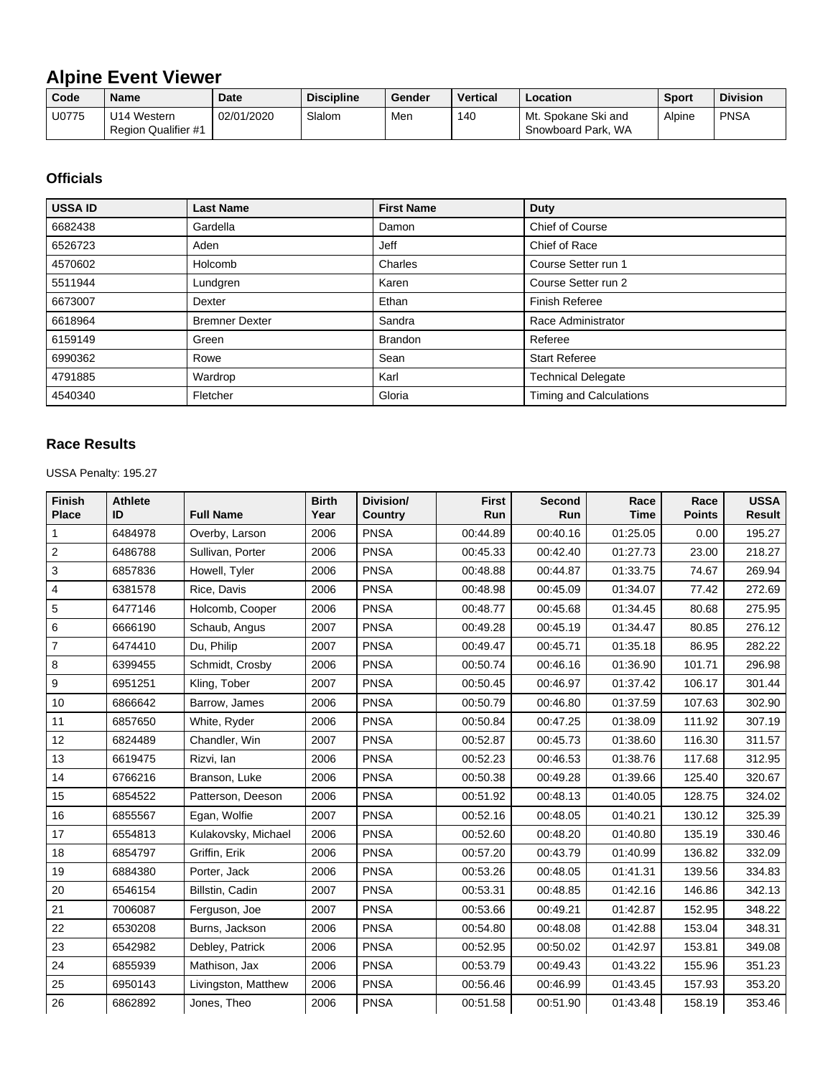## **Alpine Event Viewer**

| Code  | <b>Name</b>                               | <b>Date</b> | <b>Discipline</b> | Gender | <b>Vertical</b> | Location                                  | <b>Sport</b> | <b>Division</b> |
|-------|-------------------------------------------|-------------|-------------------|--------|-----------------|-------------------------------------------|--------------|-----------------|
| U0775 | U14 Western<br><b>Region Qualifier #1</b> | 02/01/2020  | Slalom            | Men    | 140             | Mt. Spokane Ski and<br>Snowboard Park, WA | Alpine       | <b>PNSA</b>     |

## **Officials**

| <b>USSA ID</b> | <b>Last Name</b>      | <b>First Name</b> | <b>Duty</b>               |
|----------------|-----------------------|-------------------|---------------------------|
| 6682438        | Gardella              | Damon             | Chief of Course           |
| 6526723        | Aden                  | Jeff              | Chief of Race             |
| 4570602        | Holcomb               | Charles           | Course Setter run 1       |
| 5511944        | Lundgren              | Karen             | Course Setter run 2       |
| 6673007        | Dexter                | Ethan             | Finish Referee            |
| 6618964        | <b>Bremner Dexter</b> | Sandra            | Race Administrator        |
| 6159149        | Green                 | <b>Brandon</b>    | Referee                   |
| 6990362        | Rowe                  | Sean              | <b>Start Referee</b>      |
| 4791885        | Wardrop               | Karl              | <b>Technical Delegate</b> |
| 4540340        | Fletcher              | Gloria            | Timing and Calculations   |

## **Race Results**

USSA Penalty: 195.27

| Finish<br><b>Place</b> | <b>Athlete</b><br>ID | <b>Full Name</b>    | <b>Birth</b><br>Year | Division/<br>Country | <b>First</b><br>Run | Second<br>Run | Race<br><b>Time</b> | Race<br><b>Points</b> | <b>USSA</b><br><b>Result</b> |
|------------------------|----------------------|---------------------|----------------------|----------------------|---------------------|---------------|---------------------|-----------------------|------------------------------|
| 1                      | 6484978              | Overby, Larson      | 2006                 | <b>PNSA</b>          | 00:44.89            | 00:40.16      | 01:25.05            | 0.00                  | 195.27                       |
| $\overline{c}$         | 6486788              | Sullivan, Porter    | 2006                 | <b>PNSA</b>          | 00:45.33            | 00:42.40      | 01:27.73            | 23.00                 | 218.27                       |
| 3                      | 6857836              | Howell, Tyler       | 2006                 | <b>PNSA</b>          | 00:48.88            | 00:44.87      | 01:33.75            | 74.67                 | 269.94                       |
| 4                      | 6381578              | Rice, Davis         | 2006                 | <b>PNSA</b>          | 00:48.98            | 00:45.09      | 01:34.07            | 77.42                 | 272.69                       |
| 5                      | 6477146              | Holcomb, Cooper     | 2006                 | <b>PNSA</b>          | 00:48.77            | 00:45.68      | 01:34.45            | 80.68                 | 275.95                       |
| 6                      | 6666190              | Schaub, Angus       | 2007                 | <b>PNSA</b>          | 00:49.28            | 00:45.19      | 01:34.47            | 80.85                 | 276.12                       |
| $\overline{7}$         | 6474410              | Du, Philip          | 2007                 | <b>PNSA</b>          | 00:49.47            | 00:45.71      | 01:35.18            | 86.95                 | 282.22                       |
| 8                      | 6399455              | Schmidt, Crosby     | 2006                 | <b>PNSA</b>          | 00:50.74            | 00:46.16      | 01:36.90            | 101.71                | 296.98                       |
| 9                      | 6951251              | Kling, Tober        | 2007                 | <b>PNSA</b>          | 00:50.45            | 00:46.97      | 01:37.42            | 106.17                | 301.44                       |
| 10                     | 6866642              | Barrow, James       | 2006                 | <b>PNSA</b>          | 00:50.79            | 00:46.80      | 01:37.59            | 107.63                | 302.90                       |
| 11                     | 6857650              | White, Ryder        | 2006                 | <b>PNSA</b>          | 00:50.84            | 00:47.25      | 01:38.09            | 111.92                | 307.19                       |
| 12                     | 6824489              | Chandler, Win       | 2007                 | <b>PNSA</b>          | 00:52.87            | 00:45.73      | 01:38.60            | 116.30                | 311.57                       |
| 13                     | 6619475              | Rizvi, lan          | 2006                 | <b>PNSA</b>          | 00:52.23            | 00:46.53      | 01:38.76            | 117.68                | 312.95                       |
| 14                     | 6766216              | Branson, Luke       | 2006                 | <b>PNSA</b>          | 00:50.38            | 00:49.28      | 01:39.66            | 125.40                | 320.67                       |
| 15                     | 6854522              | Patterson, Deeson   | 2006                 | <b>PNSA</b>          | 00:51.92            | 00:48.13      | 01:40.05            | 128.75                | 324.02                       |
| 16                     | 6855567              | Egan, Wolfie        | 2007                 | <b>PNSA</b>          | 00:52.16            | 00:48.05      | 01:40.21            | 130.12                | 325.39                       |
| 17                     | 6554813              | Kulakovsky, Michael | 2006                 | <b>PNSA</b>          | 00:52.60            | 00:48.20      | 01:40.80            | 135.19                | 330.46                       |
| 18                     | 6854797              | Griffin, Erik       | 2006                 | <b>PNSA</b>          | 00:57.20            | 00:43.79      | 01:40.99            | 136.82                | 332.09                       |
| 19                     | 6884380              | Porter, Jack        | 2006                 | <b>PNSA</b>          | 00:53.26            | 00:48.05      | 01:41.31            | 139.56                | 334.83                       |
| 20                     | 6546154              | Billstin, Cadin     | 2007                 | <b>PNSA</b>          | 00:53.31            | 00:48.85      | 01:42.16            | 146.86                | 342.13                       |
| 21                     | 7006087              | Ferguson, Joe       | 2007                 | <b>PNSA</b>          | 00:53.66            | 00:49.21      | 01:42.87            | 152.95                | 348.22                       |
| 22                     | 6530208              | Burns, Jackson      | 2006                 | <b>PNSA</b>          | 00:54.80            | 00:48.08      | 01:42.88            | 153.04                | 348.31                       |
| 23                     | 6542982              | Debley, Patrick     | 2006                 | <b>PNSA</b>          | 00:52.95            | 00:50.02      | 01:42.97            | 153.81                | 349.08                       |
| 24                     | 6855939              | Mathison, Jax       | 2006                 | <b>PNSA</b>          | 00:53.79            | 00:49.43      | 01:43.22            | 155.96                | 351.23                       |
| 25                     | 6950143              | Livingston, Matthew | 2006                 | <b>PNSA</b>          | 00:56.46            | 00:46.99      | 01:43.45            | 157.93                | 353.20                       |
| 26                     | 6862892              | Jones, Theo         | 2006                 | <b>PNSA</b>          | 00:51.58            | 00:51.90      | 01:43.48            | 158.19                | 353.46                       |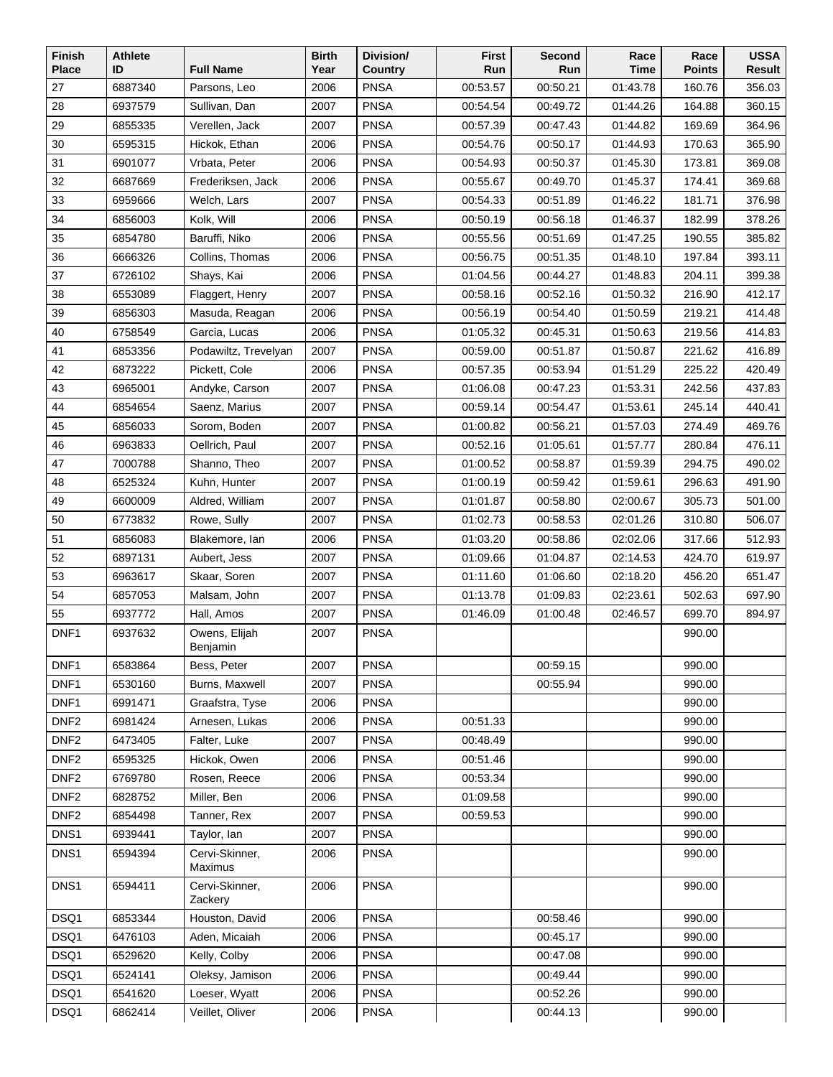| Finish           | <b>Athlete</b> |                           | <b>Birth</b> | Division/   | <b>First</b> | Second   | Race        | Race          | <b>USSA</b> |
|------------------|----------------|---------------------------|--------------|-------------|--------------|----------|-------------|---------------|-------------|
| <b>Place</b>     | ID             | <b>Full Name</b>          | Year         | Country     | Run          | Run      | <b>Time</b> | <b>Points</b> | Result      |
| 27               | 6887340        | Parsons, Leo              | 2006         | <b>PNSA</b> | 00:53.57     | 00:50.21 | 01:43.78    | 160.76        | 356.03      |
| 28               | 6937579        | Sullivan, Dan             | 2007         | <b>PNSA</b> | 00:54.54     | 00:49.72 | 01:44.26    | 164.88        | 360.15      |
| 29               | 6855335        | Verellen, Jack            | 2007         | <b>PNSA</b> | 00:57.39     | 00:47.43 | 01:44.82    | 169.69        | 364.96      |
| 30               | 6595315        | Hickok, Ethan             | 2006         | <b>PNSA</b> | 00:54.76     | 00:50.17 | 01:44.93    | 170.63        | 365.90      |
| 31               | 6901077        | Vrbata, Peter             | 2006         | <b>PNSA</b> | 00:54.93     | 00:50.37 | 01:45.30    | 173.81        | 369.08      |
| 32               | 6687669        | Frederiksen, Jack         | 2006         | <b>PNSA</b> | 00:55.67     | 00:49.70 | 01:45.37    | 174.41        | 369.68      |
| 33               | 6959666        | Welch, Lars               | 2007         | <b>PNSA</b> | 00:54.33     | 00:51.89 | 01:46.22    | 181.71        | 376.98      |
| 34               | 6856003        | Kolk, Will                | 2006         | <b>PNSA</b> | 00:50.19     | 00:56.18 | 01:46.37    | 182.99        | 378.26      |
| 35               | 6854780        | Baruffi, Niko             | 2006         | <b>PNSA</b> | 00:55.56     | 00:51.69 | 01:47.25    | 190.55        | 385.82      |
| 36               | 6666326        | Collins, Thomas           | 2006         | <b>PNSA</b> | 00:56.75     | 00:51.35 | 01:48.10    | 197.84        | 393.11      |
| 37               | 6726102        | Shays, Kai                | 2006         | <b>PNSA</b> | 01:04.56     | 00:44.27 | 01:48.83    | 204.11        | 399.38      |
| 38               | 6553089        | Flaggert, Henry           | 2007         | <b>PNSA</b> | 00:58.16     | 00:52.16 | 01:50.32    | 216.90        | 412.17      |
| 39               | 6856303        | Masuda, Reagan            | 2006         | <b>PNSA</b> | 00:56.19     | 00:54.40 | 01:50.59    | 219.21        | 414.48      |
| 40               | 6758549        | Garcia, Lucas             | 2006         | <b>PNSA</b> | 01:05.32     | 00:45.31 | 01:50.63    | 219.56        | 414.83      |
| 41               | 6853356        | Podawiltz, Trevelyan      | 2007         | <b>PNSA</b> | 00:59.00     | 00:51.87 | 01:50.87    | 221.62        | 416.89      |
| 42               | 6873222        | Pickett. Cole             | 2006         | <b>PNSA</b> | 00:57.35     | 00:53.94 | 01:51.29    | 225.22        | 420.49      |
| 43               | 6965001        | Andyke, Carson            | 2007         | <b>PNSA</b> | 01:06.08     | 00:47.23 | 01:53.31    | 242.56        | 437.83      |
| 44               | 6854654        | Saenz, Marius             | 2007         | <b>PNSA</b> | 00:59.14     | 00:54.47 | 01:53.61    | 245.14        | 440.41      |
| 45               | 6856033        | Sorom, Boden              | 2007         | <b>PNSA</b> | 01:00.82     | 00:56.21 | 01:57.03    | 274.49        | 469.76      |
| 46               | 6963833        | Oellrich, Paul            | 2007         | <b>PNSA</b> | 00:52.16     | 01:05.61 | 01:57.77    | 280.84        | 476.11      |
| 47               | 7000788        | Shanno, Theo              | 2007         | <b>PNSA</b> | 01:00.52     | 00:58.87 | 01:59.39    | 294.75        | 490.02      |
| 48               | 6525324        | Kuhn, Hunter              | 2007         | <b>PNSA</b> | 01:00.19     | 00:59.42 | 01:59.61    | 296.63        | 491.90      |
| 49               | 6600009        | Aldred, William           | 2007         | <b>PNSA</b> | 01:01.87     | 00:58.80 | 02:00.67    | 305.73        | 501.00      |
| 50               | 6773832        | Rowe, Sully               | 2007         | <b>PNSA</b> | 01:02.73     | 00:58.53 | 02:01.26    | 310.80        | 506.07      |
| 51               | 6856083        | Blakemore, lan            | 2006         | <b>PNSA</b> | 01:03.20     | 00:58.86 | 02:02.06    | 317.66        | 512.93      |
| 52               | 6897131        | Aubert, Jess              | 2007         | <b>PNSA</b> | 01:09.66     | 01:04.87 | 02:14.53    | 424.70        | 619.97      |
| 53               | 6963617        | Skaar, Soren              | 2007         | <b>PNSA</b> | 01:11.60     | 01:06.60 | 02:18.20    | 456.20        | 651.47      |
| 54               | 6857053        | Malsam, John              | 2007         | <b>PNSA</b> | 01:13.78     | 01:09.83 | 02:23.61    | 502.63        | 697.90      |
| 55               | 6937772        | Hall, Amos                | 2007         | <b>PNSA</b> | 01:46.09     | 01:00.48 | 02:46.57    | 699.70        | 894.97      |
| DNF1             | 6937632        | Owens, Elijah<br>Benjamin | 2007         | <b>PNSA</b> |              |          |             | 990.00        |             |
| DNF1             | 6583864        | Bess, Peter               | 2007         | <b>PNSA</b> |              | 00:59.15 |             | 990.00        |             |
| DNF <sub>1</sub> | 6530160        | Burns, Maxwell            | 2007         | <b>PNSA</b> |              | 00:55.94 |             | 990.00        |             |
| DNF1             | 6991471        | Graafstra, Tyse           | 2006         | <b>PNSA</b> |              |          |             | 990.00        |             |
| DNF <sub>2</sub> | 6981424        | Arnesen, Lukas            | 2006         | <b>PNSA</b> | 00:51.33     |          |             | 990.00        |             |
| DNF <sub>2</sub> | 6473405        | Falter, Luke              | 2007         | <b>PNSA</b> | 00:48.49     |          |             | 990.00        |             |
| DNF <sub>2</sub> | 6595325        | Hickok, Owen              | 2006         | <b>PNSA</b> | 00:51.46     |          |             | 990.00        |             |
| DNF <sub>2</sub> | 6769780        | Rosen, Reece              | 2006         | <b>PNSA</b> | 00:53.34     |          |             | 990.00        |             |
| DNF <sub>2</sub> | 6828752        | Miller, Ben               | 2006         | <b>PNSA</b> | 01:09.58     |          |             | 990.00        |             |
| DNF <sub>2</sub> | 6854498        | Tanner, Rex               | 2007         | <b>PNSA</b> | 00:59.53     |          |             | 990.00        |             |
| DNS1             | 6939441        | Taylor, lan               | 2007         | <b>PNSA</b> |              |          |             | 990.00        |             |
| DNS1             | 6594394        | Cervi-Skinner,<br>Maximus | 2006         | <b>PNSA</b> |              |          |             | 990.00        |             |
| DNS1             | 6594411        | Cervi-Skinner,<br>Zackery | 2006         | <b>PNSA</b> |              |          |             | 990.00        |             |
| DSQ1             | 6853344        | Houston, David            | 2006         | <b>PNSA</b> |              | 00:58.46 |             | 990.00        |             |
| DSQ1             | 6476103        | Aden, Micaiah             | 2006         | <b>PNSA</b> |              | 00:45.17 |             | 990.00        |             |
| DSQ1             | 6529620        | Kelly, Colby              | 2006         | <b>PNSA</b> |              | 00:47.08 |             | 990.00        |             |
| DSQ1             | 6524141        | Oleksy, Jamison           | 2006         | <b>PNSA</b> |              | 00:49.44 |             | 990.00        |             |
| DSQ1             | 6541620        | Loeser, Wyatt             | 2006         | <b>PNSA</b> |              | 00:52.26 |             | 990.00        |             |
| DSQ1             | 6862414        | Veillet, Oliver           | 2006         | <b>PNSA</b> |              | 00:44.13 |             | 990.00        |             |